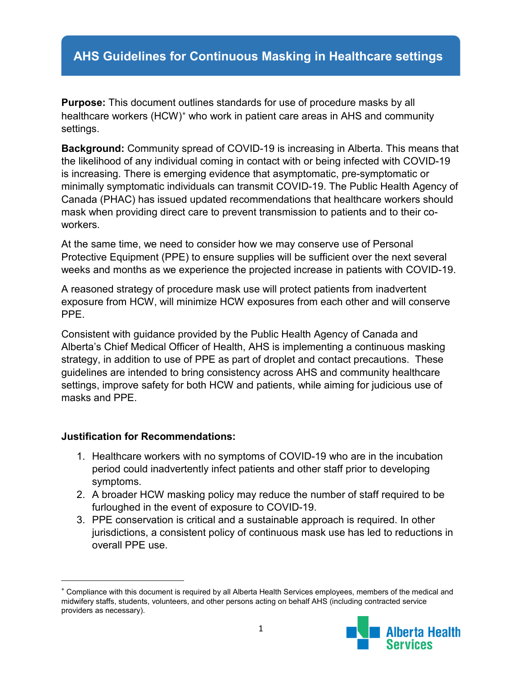## **AHS Guidelines for Continuous Masking in Healthcare settings**

**Purpose:** This document outlines standards for use of procedure masks by all healthcare workers (HCW)<sup>\*</sup> who work in patient care areas in AHS and community settings.

**Background:** Community spread of COVID-19 is increasing in Alberta. This means that the likelihood of any individual coming in contact with or being infected with COVID-19 is increasing. There is emerging evidence that asymptomatic, pre-symptomatic or minimally symptomatic individuals can transmit COVID-19. The Public Health Agency of Canada (PHAC) has issued updated recommendations that healthcare workers should mask when providing direct care to prevent transmission to patients and to their coworkers.

At the same time, we need to consider how we may conserve use of Personal Protective Equipment (PPE) to ensure supplies will be sufficient over the next several weeks and months as we experience the projected increase in patients with COVID-19.

A reasoned strategy of procedure mask use will protect patients from inadvertent exposure from HCW, will minimize HCW exposures from each other and will conserve PPE.

Consistent with guidance provided by the Public Health Agency of Canada and Alberta's Chief Medical Officer of Health, AHS is implementing a continuous masking strategy, in addition to use of PPE as part of droplet and contact precautions. These guidelines are intended to bring consistency across AHS and community healthcare settings, improve safety for both HCW and patients, while aiming for judicious use of masks and PPE.

## **Justification for Recommendations:**

l

- 1. Healthcare workers with no symptoms of COVID-19 who are in the incubation period could inadvertently infect patients and other staff prior to developing symptoms.
- 2. A broader HCW masking policy may reduce the number of staff required to be furloughed in the event of exposure to COVID-19.
- 3. PPE conservation is critical and a sustainable approach is required. In other jurisdictions, a consistent policy of continuous mask use has led to reductions in overall PPE use.

<span id="page-0-0"></span><sup>∗</sup> Compliance with this document is required by all Alberta Health Services employees, members of the medical and midwifery staffs, students, volunteers, and other persons acting on behalf AHS (including contracted service providers as necessary).